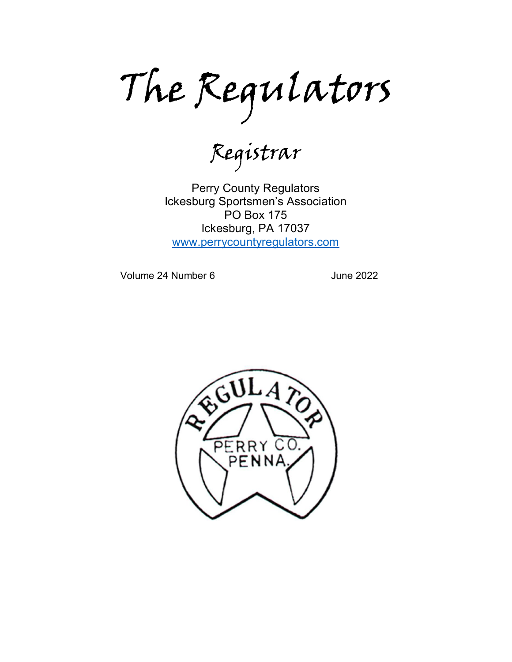The Regulators

Registrar

Perry County Regulators Ickesburg Sportsmen's Association PO Box 175 Ickesburg, PA 17037 [www.perrycountyregulators.com](http://www.perrycountyregulators.com/)

Volume 24 Number 6 June 2022

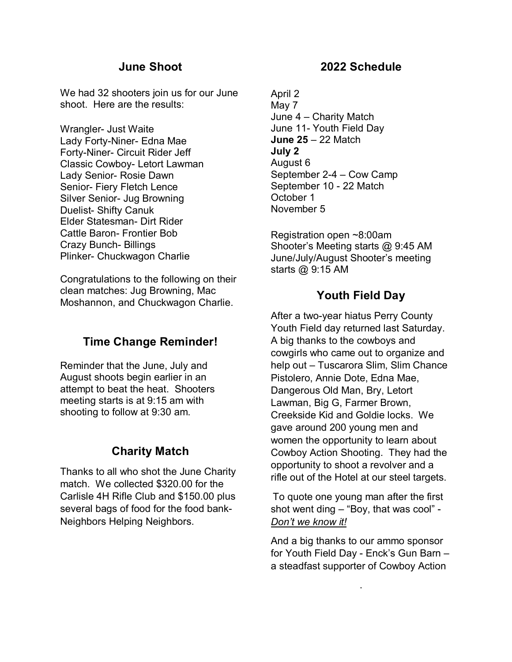### **June Shoot**

We had 32 shooters join us for our June shoot. Here are the results:

Wrangler- Just Waite Lady Forty-Niner- Edna Mae Forty-Niner- Circuit Rider Jeff Classic Cowboy- Letort Lawman Lady Senior- Rosie Dawn Senior- Fiery Fletch Lence Silver Senior- Jug Browning Duelist- Shifty Canuk Elder Statesman- Dirt Rider Cattle Baron- Frontier Bob Crazy Bunch- Billings Plinker- Chuckwagon Charlie

Congratulations to the following on their clean matches: Jug Browning, Mac Moshannon, and Chuckwagon Charlie.

## **Time Change Reminder!**

Reminder that the June, July and August shoots begin earlier in an attempt to beat the heat. Shooters meeting starts is at 9:15 am with shooting to follow at 9:30 am.

## **Charity Match**

Thanks to all who shot the June Charity match. We collected \$320.00 for the Carlisle 4H Rifle Club and \$150.00 plus several bags of food for the food bank-Neighbors Helping Neighbors.

#### **2022 Schedule**

April 2 May 7 June 4 – Charity Match June 11- Youth Field Day **June 25** – 22 Match **July 2** August 6 September 2-4 – Cow Camp September 10 - 22 Match October 1 November 5

Registration open ~8:00am Shooter's Meeting starts @ 9:45 AM June/July/August Shooter's meeting starts @ 9:15 AM

## **Youth Field Day**

After a two-year hiatus Perry County Youth Field day returned last Saturday. A big thanks to the cowboys and cowgirls who came out to organize and help out – Tuscarora Slim, Slim Chance Pistolero, Annie Dote, Edna Mae, Dangerous Old Man, Bry, Letort Lawman, Big G, Farmer Brown, Creekside Kid and Goldie locks. We gave around 200 young men and women the opportunity to learn about Cowboy Action Shooting. They had the opportunity to shoot a revolver and a rifle out of the Hotel at our steel targets.

To quote one young man after the first shot went ding – "Boy, that was cool" - *Don't we know it!*

And a big thanks to our ammo sponsor for Youth Field Day - Enck's Gun Barn – a steadfast supporter of Cowboy Action

.